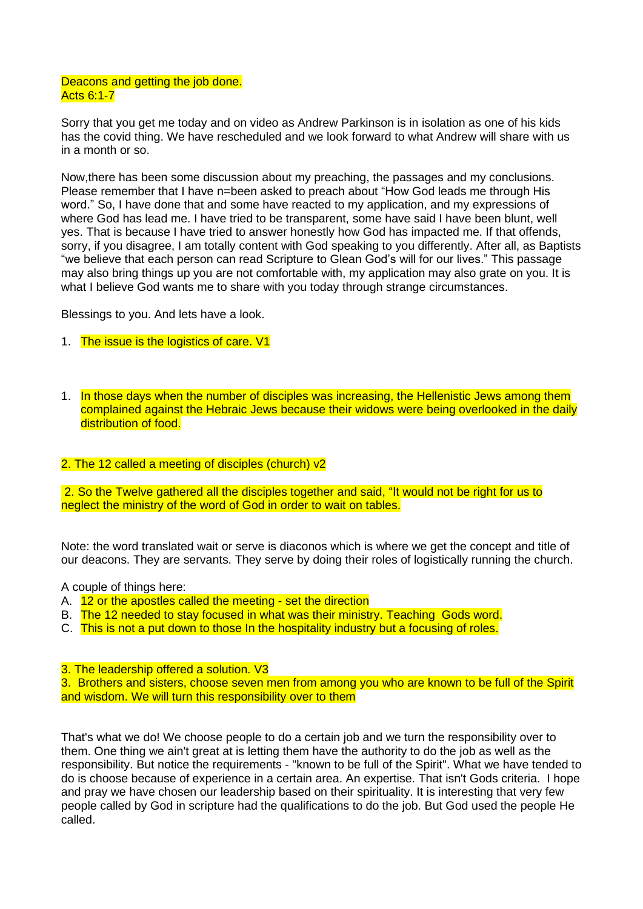## Deacons and getting the job done. Acts 6:1-7

Sorry that you get me today and on video as Andrew Parkinson is in isolation as one of his kids has the covid thing. We have rescheduled and we look forward to what Andrew will share with us in a month or so.

Now,there has been some discussion about my preaching, the passages and my conclusions. Please remember that I have n=been asked to preach about "How God leads me through His word." So, I have done that and some have reacted to my application, and my expressions of where God has lead me. I have tried to be transparent, some have said I have been blunt, well yes. That is because I have tried to answer honestly how God has impacted me. If that offends, sorry, if you disagree, I am totally content with God speaking to you differently. After all, as Baptists "we believe that each person can read Scripture to Glean God's will for our lives." This passage may also bring things up you are not comfortable with, my application may also grate on you. It is what I believe God wants me to share with you today through strange circumstances.

Blessings to you. And lets have a look.

- 1. The issue is the logistics of care. V1
- 1. In those days when the number of disciples was increasing, the Hellenistic Jews among them complained against the Hebraic Jews because their widows were being overlooked in the daily distribution of food.

## 2. The 12 called a meeting of disciples (church) v2

2. So the Twelve gathered all the disciples together and said, "It would not be right for us to neglect the ministry of the word of God in order to wait on tables.

Note: the word translated wait or serve is diaconos which is where we get the concept and title of our deacons. They are servants. They serve by doing their roles of logistically running the church.

A couple of things here:

- A. 12 or the apostles called the meeting set the direction
- B. The 12 needed to stay focused in what was their ministry. Teaching Gods word.
- C. This is not a put down to those In the hospitality industry but a focusing of roles.

3. The leadership offered a solution. V3

3. Brothers and sisters, choose seven men from among you who are known to be full of the Spirit and wisdom. We will turn this responsibility over to them

That's what we do! We choose people to do a certain job and we turn the responsibility over to them. One thing we ain't great at is letting them have the authority to do the job as well as the responsibility. But notice the requirements - "known to be full of the Spirit". What we have tended to do is choose because of experience in a certain area. An expertise. That isn't Gods criteria. I hope and pray we have chosen our leadership based on their spirituality. It is interesting that very few people called by God in scripture had the qualifications to do the job. But God used the people He called.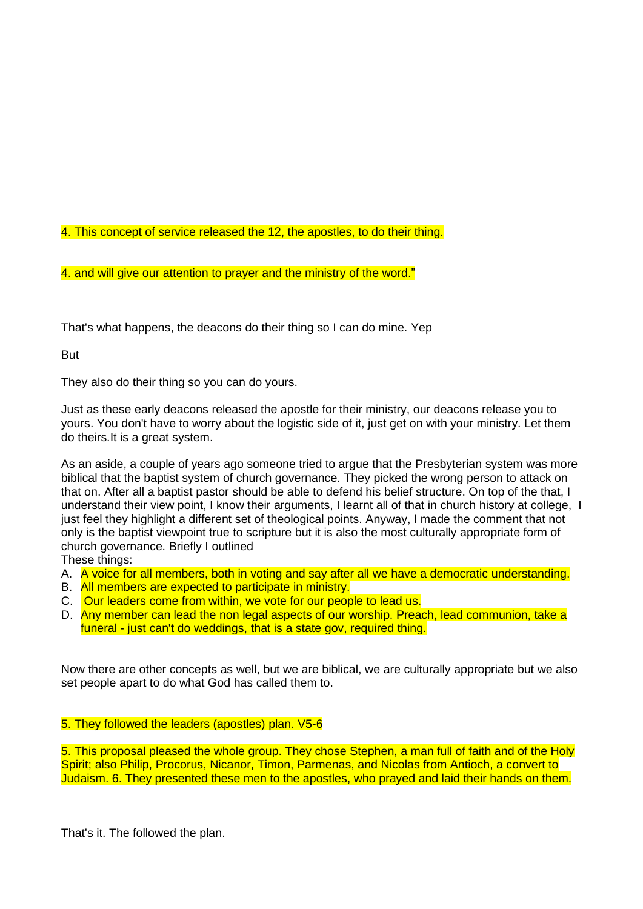4. This concept of service released the 12, the apostles, to do their thing.

4. and will give our attention to prayer and the ministry of the word."

That's what happens, the deacons do their thing so I can do mine. Yep

**But** 

They also do their thing so you can do yours.

Just as these early deacons released the apostle for their ministry, our deacons release you to yours. You don't have to worry about the logistic side of it, just get on with your ministry. Let them do theirs.It is a great system.

As an aside, a couple of years ago someone tried to argue that the Presbyterian system was more biblical that the baptist system of church governance. They picked the wrong person to attack on that on. After all a baptist pastor should be able to defend his belief structure. On top of the that, I understand their view point, I know their arguments, I learnt all of that in church history at college, I just feel they highlight a different set of theological points. Anyway, I made the comment that not only is the baptist viewpoint true to scripture but it is also the most culturally appropriate form of church governance. Briefly I outlined

These things:

- A. A voice for all members, both in voting and say after all we have a democratic understanding.
- B. All members are expected to participate in ministry.
- C. Our leaders come from within, we vote for our people to lead us.
- D. Any member can lead the non legal aspects of our worship. Preach, lead communion, take a funeral - just can't do weddings, that is a state gov, required thing.

Now there are other concepts as well, but we are biblical, we are culturally appropriate but we also set people apart to do what God has called them to.

## 5. They followed the leaders (apostles) plan. V5-6

5. This proposal pleased the whole group. They chose Stephen, a man full of faith and of the Holy Spirit; also Philip, Procorus, Nicanor, Timon, Parmenas, and Nicolas from Antioch, a convert to Judaism. 6. They presented these men to the apostles, who prayed and laid their hands on them.

That's it. The followed the plan.